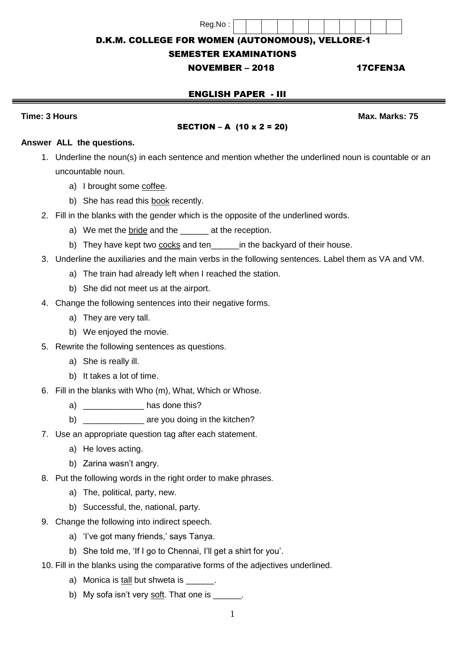#### Reg.No :

D.K.M. COLLEGE FOR WOMEN (AUTONOMOUS), VELLORE-1

## SEMESTER EXAMINATIONS

# NOVEMBER – 2018 17CFEN3A

# ENGLISH PAPER - III

**Time: 3 Hours Max.** Marks: 75

### SECTION – A (10 x 2 = 20)

#### **Answer ALL the questions.**

- 1. Underline the noun(s) in each sentence and mention whether the underlined noun is countable or an uncountable noun.
	- a) I brought some coffee.
	- b) She has read this book recently.
- 2. Fill in the blanks with the gender which is the opposite of the underlined words.
	- a) We met the bride and the \_\_\_\_\_\_\_ at the reception.
	- b) They have kept two cocks and ten\_\_\_\_\_\_\_in the backyard of their house.
- 3. Underline the auxiliaries and the main verbs in the following sentences. Label them as VA and VM.
	- a) The train had already left when I reached the station.
	- b) She did not meet us at the airport.
- 4. Change the following sentences into their negative forms.
	- a) They are very tall.
	- b) We enjoyed the movie.
- 5. Rewrite the following sentences as questions.
	- a) She is really ill.
	- b) It takes a lot of time.
- 6. Fill in the blanks with Who (m), What, Which or Whose.
	- a) and the has done this?
	- b) \_\_\_\_\_\_\_\_\_\_\_\_\_\_\_\_\_\_ are you doing in the kitchen?
- 7. Use an appropriate question tag after each statement.
	- a) He loves acting.
	- b) Zarina wasn't angry.
- 8. Put the following words in the right order to make phrases.
	- a) The, political, party, new.
	- b) Successful, the, national, party.
- 9. Change the following into indirect speech.
	- a) 'I've got many friends,' says Tanya.
	- b) She told me, 'If I go to Chennai, I'll get a shirt for you'.
- 10. Fill in the blanks using the comparative forms of the adjectives underlined.
	- a) Monica is tall but shweta is  $\qquad \qquad$ .
	- b) My sofa isn't very soft. That one is